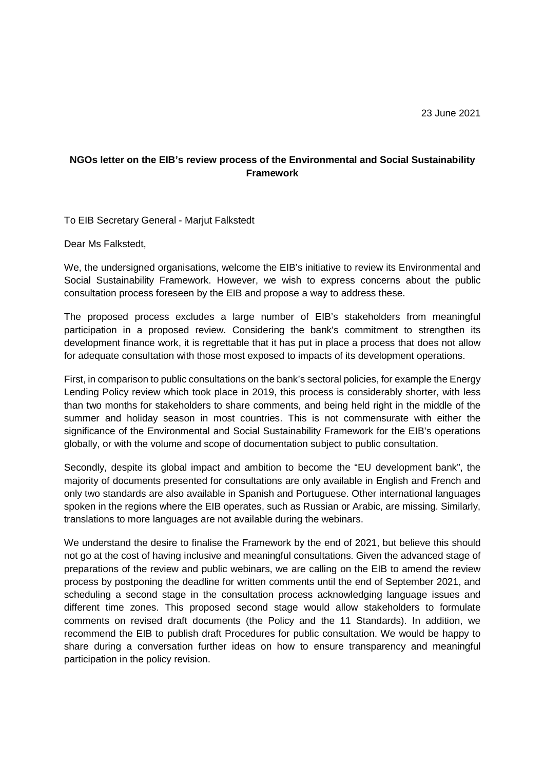## **NGOs letter on the EIB's review process of the Environmental and Social Sustainability Framework**

To EIB Secretary General - Marjut Falkstedt

Dear Ms Falkstedt,

We, the undersigned organisations, welcome the EIB's initiative to review its Environmental and Social Sustainability Framework. However, we wish to express concerns about the public consultation process foreseen by the EIB and propose a way to address these.

The proposed process excludes a large number of EIB's stakeholders from meaningful participation in a proposed review. Considering the bank's commitment to strengthen its development finance work, it is regrettable that it has put in place a process that does not allow for adequate consultation with those most exposed to impacts of its development operations.

First, in comparison to public consultations on the bank's sectoral policies, for example the Energy Lending Policy review which took place in 2019, this process is considerably shorter, with less than two months for stakeholders to share comments, and being held right in the middle of the summer and holiday season in most countries. This is not commensurate with either the significance of the Environmental and Social Sustainability Framework for the EIB's operations globally, or with the volume and scope of documentation subject to public consultation.

Secondly, despite its global impact and ambition to become the "EU development bank", the majority of documents presented for consultations are only available in English and French and only two standards are also available in Spanish and Portuguese. Other international languages spoken in the regions where the EIB operates, such as Russian or Arabic, are missing. Similarly, translations to more languages are not available during the webinars.

We understand the desire to finalise the Framework by the end of 2021, but believe this should not go at the cost of having inclusive and meaningful consultations. Given the advanced stage of preparations of the review and public webinars, we are calling on the EIB to amend the review process by postponing the deadline for written comments until the end of September 2021, and scheduling a second stage in the consultation process acknowledging language issues and different time zones. This proposed second stage would allow stakeholders to formulate comments on revised draft documents (the Policy and the 11 Standards). In addition, we recommend the EIB to publish draft Procedures for public consultation. We would be happy to share during a conversation further ideas on how to ensure transparency and meaningful participation in the policy revision.